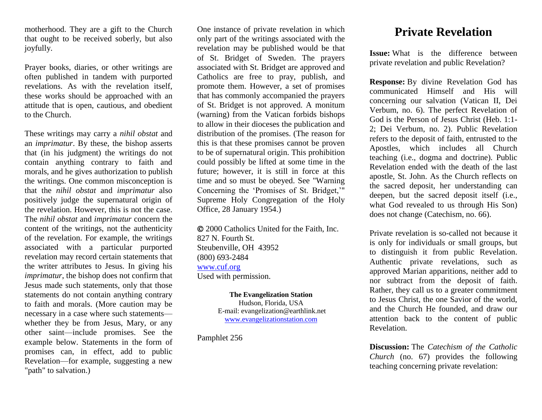motherhood. They are a gift to the Church that ought to be received soberly, but also joyfully.

Prayer books, diaries, or other writings are often published in tandem with purported revelations. As with the revelation itself, these works should be approached with an attitude that is open, cautious, and obedient to the Church.

These writings may carry a *nihil obstat* and an *imprimatur*. By these, the bishop asserts that (in his judgment) the writings do not contain anything contrary to faith and morals, and he gives authorization to publish the writings. One common misconception is that the *nihil obstat* and *imprimatur* also positively judge the supernatural origin of the revelation. However, this is not the case. The *nihil obstat* and *imprimatur* concern the content of the writings, not the authenticity of the revelation. For example, the writings associated with a particular purported revelation may record certain statements that the writer attributes to Jesus. In giving his *imprimatur*, the bishop does not confirm that Jesus made such statements, only that those statements do not contain anything contrary to faith and morals. (More caution may be necessary in a case where such statements whether they be from Jesus, Mary, or any other saint—include promises. See the example below. Statements in the form of promises can, in effect, add to public Revelation—for example, suggesting a new "path" to salvation.)

One instance of private revelation in which only part of the writings associated with the revelation may be published would be that of St. Bridget of Sweden. The prayers associated with St. Bridget are approved and Catholics are free to pray, publish, and promote them. However, a set of promises that has commonly accompanied the prayers of St. Bridget is not approved. A monitum (warning) from the Vatican forbids bishops to allow in their dioceses the publication and distribution of the promises. (The reason for this is that these promises cannot be proven to be of supernatural origin. This prohibition could possibly be lifted at some time in the future; however, it is still in force at this time and so must be obeyed. See "Warning Concerning the 'Promises of St. Bridget,'" Supreme Holy Congregation of the Holy Office, 28 January 1954.)

 2000 Catholics United for the Faith, Inc. 827 N. Fourth St. Steubenville, OH 43952 (800) 693-2484 [www.cuf.org](http://www.cuf.org/) Used with permission.

> **The Evangelization Station** Hudson, Florida, USA E-mail: evangelization@earthlink.net [www.evangelizationstation.com](http://www.pjpiisoe.org/)

Pamphlet 256

## **Private Revelation**

**Issue:** What is the difference between private revelation and public Revelation?

**Response:** By divine Revelation God has communicated Himself and His will concerning our salvation (Vatican II, Dei Verbum, no. 6). The perfect Revelation of God is the Person of Jesus Christ (Heb. 1:1- 2; Dei Verbum, no. 2). Public Revelation refers to the deposit of faith, entrusted to the Apostles, which includes all Church teaching (i.e., dogma and doctrine). Public Revelation ended with the death of the last apostle, St. John. As the Church reflects on the sacred deposit, her understanding can deepen, but the sacred deposit itself (i.e., what God revealed to us through His Son) does not change (Catechism, no. 66).

Private revelation is so-called not because it is only for individuals or small groups, but to distinguish it from public Revelation. Authentic private revelations, such as approved Marian apparitions, neither add to nor subtract from the deposit of faith. Rather, they call us to a greater commitment to Jesus Christ, the one Savior of the world, and the Church He founded, and draw our attention back to the content of public Revelation.

**Discussion:** The *Catechism of the Catholic Church* (no. 67) provides the following teaching concerning private revelation: